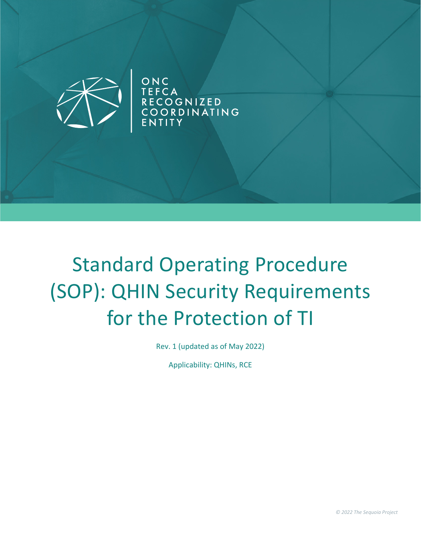

ONC<br>TEFCA<br>RECOGNIZED<br>COORDINATING **YTITK** 

# Standard Operating Procedure (SOP): QHIN Security Requirements for the Protection of TI

Rev. 1 (updated as of May 2022)

Applicability: QHINs, RCE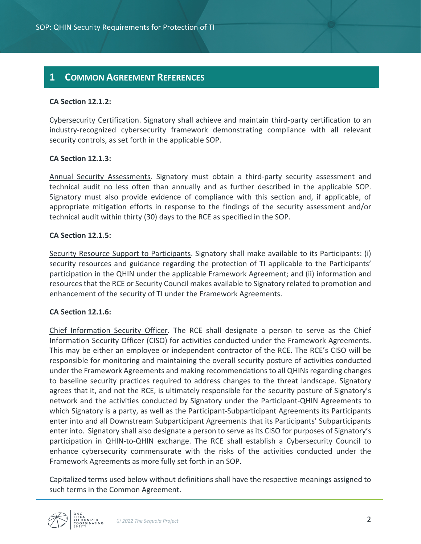### **1 COMMON AGREEMENT REFERENCES**

#### **CA Section 12.1.2:**

Cybersecurity Certification. Signatory shall achieve and maintain third-party certification to an industry-recognized cybersecurity framework demonstrating compliance with all relevant security controls, as set forth in the applicable SOP.

#### **CA Section 12.1.3:**

Annual Security Assessments. Signatory must obtain a third-party security assessment and technical audit no less often than annually and as further described in the applicable SOP. Signatory must also provide evidence of compliance with this section and, if applicable, of appropriate mitigation efforts in response to the findings of the security assessment and/or technical audit within thirty (30) days to the RCE as specified in the SOP.

#### **CA Section 12.1.5:**

Security Resource Support to Participants. Signatory shall make available to its Participants: (i) security resources and guidance regarding the protection of TI applicable to the Participants' participation in the QHIN under the applicable Framework Agreement; and (ii) information and resources that the RCE or Security Council makes available to Signatory related to promotion and enhancement of the security of TI under the Framework Agreements.

#### **CA Section 12.1.6:**

Chief Information Security Officer. The RCE shall designate a person to serve as the Chief Information Security Officer (CISO) for activities conducted under the Framework Agreements. This may be either an employee or independent contractor of the RCE. The RCE's CISO will be responsible for monitoring and maintaining the overall security posture of activities conducted under the Framework Agreements and making recommendations to all QHINs regarding changes to baseline security practices required to address changes to the threat landscape. Signatory agrees that it, and not the RCE, is ultimately responsible for the security posture of Signatory's network and the activities conducted by Signatory under the Participant-QHIN Agreements to which Signatory is a party, as well as the Participant-Subparticipant Agreements its Participants enter into and all Downstream Subparticipant Agreements that its Participants' Subparticipants enter into. Signatory shall also designate a person to serve as its CISO for purposes of Signatory's participation in QHIN-to-QHIN exchange. The RCE shall establish a Cybersecurity Council to enhance cybersecurity commensurate with the risks of the activities conducted under the Framework Agreements as more fully set forth in an SOP.

Capitalized terms used below without definitions shall have the respective meanings assigned to such terms in the Common Agreement.

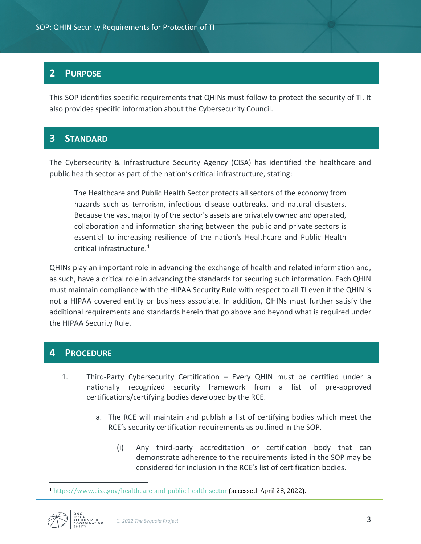## **2 PURPOSE**

This SOP identifies specific requirements that QHINs must follow to protect the security of TI. It also provides specific information about the Cybersecurity Council.

## **3 STANDARD**

The Cybersecurity & Infrastructure Security Agency (CISA) has identified the healthcare and public health sector as part of the nation's critical infrastructure, stating:

The Healthcare and Public Health Sector protects all sectors of the economy from hazards such as terrorism, infectious disease outbreaks, and natural disasters. Because the vast majority of the sector's assets are privately owned and operated, collaboration and information sharing between the public and private sectors is essential to increasing resilience of the nation's Healthcare and Public Health critical infrastructure.[1](#page-2-0)

QHINs play an important role in advancing the exchange of health and related information and, as such, have a critical role in advancing the standards for securing such information. Each QHIN must maintain compliance with the HIPAA Security Rule with respect to all TI even if the QHIN is not a HIPAA covered entity or business associate. In addition, QHINs must further satisfy the additional requirements and standards herein that go above and beyond what is required under the HIPAA Security Rule.

## **4 PROCEDURE**

- 1. Third-Party Cybersecurity Certification Every QHIN must be certified under a nationally recognized security framework from a list of pre-approved certifications/certifying bodies developed by the RCE.
	- a. The RCE will maintain and publish a list of certifying bodies which meet the RCE's security certification requirements as outlined in the SOP.
		- (i) Any third-party accreditation or certification body that can demonstrate adherence to the requirements listed in the SOP may be considered for inclusion in the RCE's list of certification bodies.

<span id="page-2-0"></span><sup>1</sup> <https://www.cisa.gov/healthcare-and-public-health-sector> (accessed April 28, 2022).



 $\overline{a}$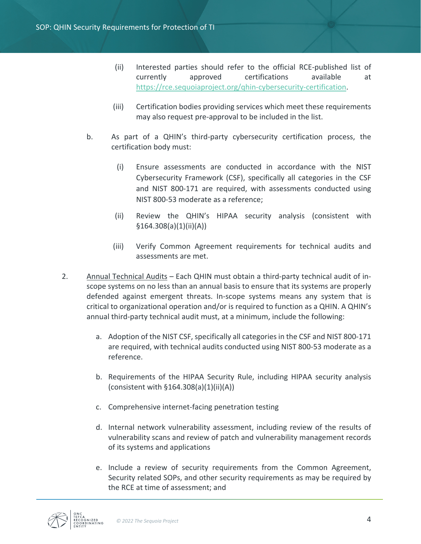- (ii) Interested parties should refer to the official RCE-published list of currently approved certifications available at [https://rce.sequoiaproject.org/qhin-cybersecurity-certification.](https://rce.sequoiaproject.org/qhin-cybersecurity-certification)
- (iii) Certification bodies providing services which meet these requirements may also request pre-approval to be included in the list.
- b. As part of a QHIN's third-party cybersecurity certification process, the certification body must:
	- (i) Ensure assessments are conducted in accordance with the NIST Cybersecurity Framework (CSF), specifically all categories in the CSF and NIST 800-171 are required, with assessments conducted using NIST 800-53 moderate as a reference;
	- (ii) Review the QHIN's HIPAA security analysis (consistent with §164.308(a)(1)(ii)(A))
	- (iii) Verify Common Agreement requirements for technical audits and assessments are met.
- 2. Annual Technical Audits Each QHIN must obtain a third-party technical audit of inscope systems on no less than an annual basis to ensure that its systems are properly defended against emergent threats. In-scope systems means any system that is critical to organizational operation and/or is required to function as a QHIN. A QHIN's annual third-party technical audit must, at a minimum, include the following:
	- a. Adoption of the NIST CSF, specifically all categories in the CSF and NIST 800-171 are required, with technical audits conducted using NIST 800-53 moderate as a reference.
	- b. Requirements of the HIPAA Security Rule, including HIPAA security analysis (consistent with  $§164.308(a)(1)(ii)(A))$
	- c. Comprehensive internet-facing penetration testing
	- d. Internal network vulnerability assessment, including review of the results of vulnerability scans and review of patch and vulnerability management records of its systems and applications
	- e. Include a review of security requirements from the Common Agreement, Security related SOPs, and other security requirements as may be required by the RCE at time of assessment; and

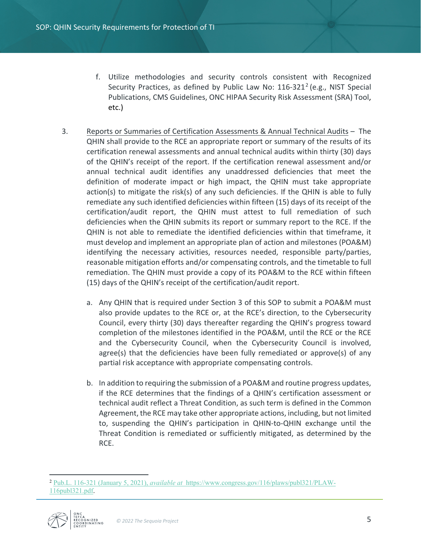- f. Utilize methodologies and security controls consistent with Recognized Security Practices, as defined by Public Law No: 116-321<sup>2</sup> (e.g., NIST Special Publications, CMS Guidelines, ONC HIPAA Security Risk Assessment (SRA) Tool, etc.)
- 3. Reports or Summaries of Certification Assessments & Annual Technical Audits The QHIN shall provide to the RCE an appropriate report or summary of the results of its certification renewal assessments and annual technical audits within thirty (30) days of the QHIN's receipt of the report. If the certification renewal assessment and/or annual technical audit identifies any unaddressed deficiencies that meet the definition of moderate impact or high impact, the QHIN must take appropriate action(s) to mitigate the risk(s) of any such deficiencies. If the QHIN is able to fully remediate any such identified deficiencies within fifteen (15) days of its receipt of the certification/audit report, the QHIN must attest to full remediation of such deficiencies when the QHIN submits its report or summary report to the RCE. If the QHIN is not able to remediate the identified deficiencies within that timeframe, it must develop and implement an appropriate plan of action and milestones (POA&M) identifying the necessary activities, resources needed, responsible party/parties, reasonable mitigation efforts and/or compensating controls, and the timetable to full remediation. The QHIN must provide a copy of its POA&M to the RCE within fifteen (15) days of the QHIN's receipt of the certification/audit report.
	- a. Any QHIN that is required under Section 3 of this SOP to submit a POA&M must also provide updates to the RCE or, at the RCE's direction, to the Cybersecurity Council, every thirty (30) days thereafter regarding the QHIN's progress toward completion of the milestones identified in the POA&M, until the RCE or the RCE and the Cybersecurity Council, when the Cybersecurity Council is involved, agree(s) that the deficiencies have been fully remediated or approve(s) of any partial risk acceptance with appropriate compensating controls.
	- b. In addition to requiring the submission of a POA&M and routine progress updates, if the RCE determines that the findings of a QHIN's certification assessment or technical audit reflect a Threat Condition, as such term is defined in the Common Agreement, the RCE may take other appropriate actions, including, but not limited to, suspending the QHIN's participation in QHIN-to-QHIN exchange until the Threat Condition is remediated or sufficiently mitigated, as determined by the RCE.

<span id="page-4-0"></span><sup>2</sup> [Pub.L. 116-321 \(January 5, 2021\),](https://hhsgov.sharepoint.com/sites/onc/opol/Documents/TEFCA/SOPs%20and%20Other%20Operational%20Documents/Pub.L.%20116-321%20(January%205,%202021),%20available%20at) *available at* [https://www.congress.gov/116/plaws/publ321/PLAW-](https://www.congress.gov/116/plaws/publ321/PLAW-116publ321.pdf)[116publ321.pdf.](https://www.congress.gov/116/plaws/publ321/PLAW-116publ321.pdf)



 $\overline{a}$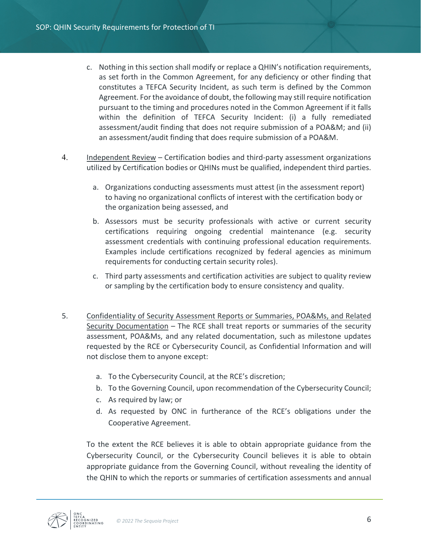- c. Nothing in this section shall modify or replace a QHIN's notification requirements, as set forth in the Common Agreement, for any deficiency or other finding that constitutes a TEFCA Security Incident, as such term is defined by the Common Agreement. For the avoidance of doubt, the following may still require notification pursuant to the timing and procedures noted in the Common Agreement if it falls within the definition of TEFCA Security Incident: (i) a fully remediated assessment/audit finding that does not require submission of a POA&M; and (ii) an assessment/audit finding that does require submission of a POA&M.
- 4. Independent Review Certification bodies and third-party assessment organizations utilized by Certification bodies or QHINs must be qualified, independent third parties.
	- a. Organizations conducting assessments must attest (in the assessment report) to having no organizational conflicts of interest with the certification body or the organization being assessed, and
	- b. Assessors must be security professionals with active or current security certifications requiring ongoing credential maintenance (e.g. security assessment credentials with continuing professional education requirements. Examples include certifications recognized by federal agencies as minimum requirements for conducting certain security roles).
	- c. Third party assessments and certification activities are subject to quality review or sampling by the certification body to ensure consistency and quality.
- 5. Confidentiality of Security Assessment Reports or Summaries, POA&Ms, and Related Security Documentation - The RCE shall treat reports or summaries of the security assessment, POA&Ms, and any related documentation, such as milestone updates requested by the RCE or Cybersecurity Council, as Confidential Information and will not disclose them to anyone except:
	- a. To the Cybersecurity Council, at the RCE's discretion;
	- b. To the Governing Council, upon recommendation of the Cybersecurity Council;
	- c. As required by law; or
	- d. As requested by ONC in furtherance of the RCE's obligations under the Cooperative Agreement.

To the extent the RCE believes it is able to obtain appropriate guidance from the Cybersecurity Council, or the Cybersecurity Council believes it is able to obtain appropriate guidance from the Governing Council, without revealing the identity of the QHIN to which the reports or summaries of certification assessments and annual